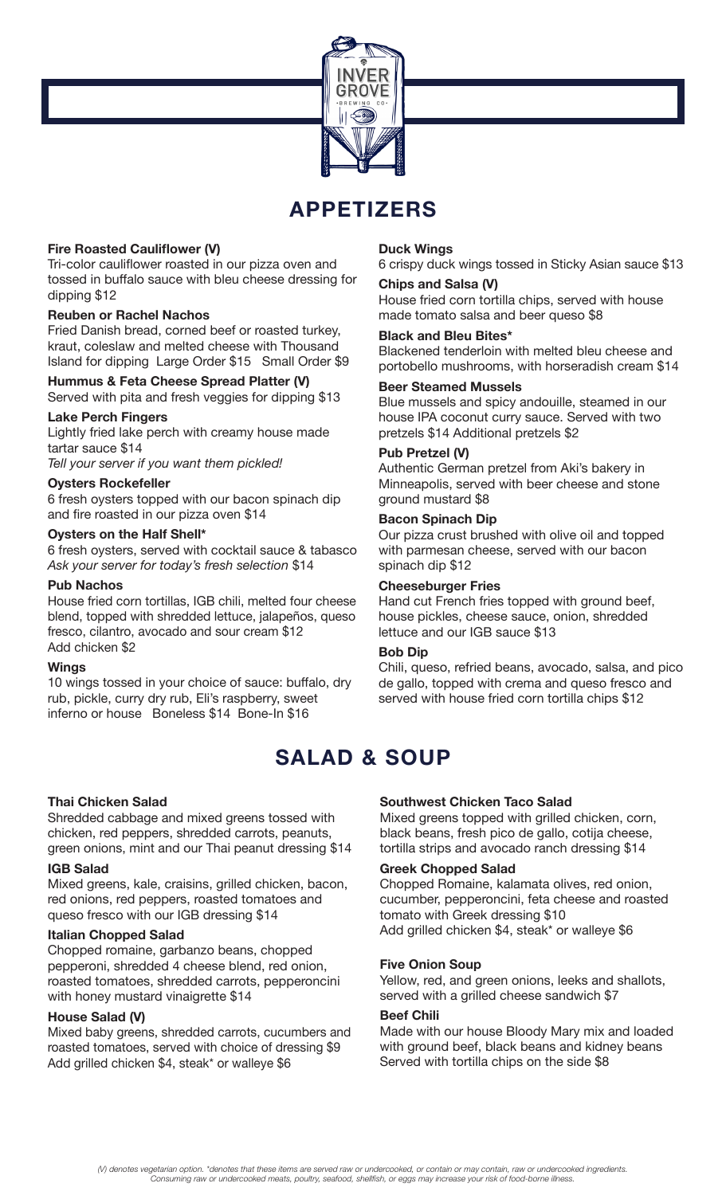

# **APPETIZERS**

# **Fire Roasted Cauliflower (V)**

Tri-color cauliflower roasted in our pizza oven and tossed in buffalo sauce with bleu cheese dressing for dipping \$12

#### **Reuben or Rachel Nachos**

Fried Danish bread, corned beef or roasted turkey, kraut, coleslaw and melted cheese with Thousand Island for dipping Large Order \$15 Small Order \$9

# **Hummus & Feta Cheese Spread Platter (V)**

Served with pita and fresh veggies for dipping \$13

#### **Lake Perch Fingers**

Lightly fried lake perch with creamy house made tartar sauce \$14

*Tell your server if you want them pickled!*

#### **Oysters Rockefeller**

6 fresh oysters topped with our bacon spinach dip and fire roasted in our pizza oven \$14

#### **Oysters on the Half Shell\***

6 fresh oysters, served with cocktail sauce & tabasco *Ask your server for today's fresh selection* \$14

#### **Pub Nachos**

House fried corn tortillas, IGB chili, melted four cheese blend, topped with shredded lettuce, jalapeños, queso fresco, cilantro, avocado and sour cream \$12 Add chicken \$2

#### **Wings**

10 wings tossed in your choice of sauce: buffalo, dry rub, pickle, curry dry rub, Eli's raspberry, sweet inferno or house Boneless \$14 Bone-In \$16

#### **Thai Chicken Salad**

Shredded cabbage and mixed greens tossed with chicken, red peppers, shredded carrots, peanuts, green onions, mint and our Thai peanut dressing \$14

#### **IGB Salad**

Mixed greens, kale, craisins, grilled chicken, bacon, red onions, red peppers, roasted tomatoes and queso fresco with our IGB dressing \$14

#### **Italian Chopped Salad**

Chopped romaine, garbanzo beans, chopped pepperoni, shredded 4 cheese blend, red onion, roasted tomatoes, shredded carrots, pepperoncini with honey mustard vinaigrette \$14

#### **House Salad (V)**

Mixed baby greens, shredded carrots, cucumbers and roasted tomatoes, served with choice of dressing \$9 Add grilled chicken \$4, steak\* or walleye \$6

#### **Duck Wings**

6 crispy duck wings tossed in Sticky Asian sauce \$13

# **Chips and Salsa (V)**

House fried corn tortilla chips, served with house made tomato salsa and beer queso \$8

#### **Black and Bleu Bites\***

Blackened tenderloin with melted bleu cheese and portobello mushrooms, with horseradish cream \$14

#### **Beer Steamed Mussels**

Blue mussels and spicy andouille, steamed in our house IPA coconut curry sauce. Served with two pretzels \$14 Additional pretzels \$2

#### **Pub Pretzel (V)**

Authentic German pretzel from Aki's bakery in Minneapolis, served with beer cheese and stone ground mustard \$8

#### **Bacon Spinach Dip**

Our pizza crust brushed with olive oil and topped with parmesan cheese, served with our bacon spinach dip \$12

#### **Cheeseburger Fries**

Hand cut French fries topped with ground beef, house pickles, cheese sauce, onion, shredded lettuce and our IGB sauce \$13

#### **Bob Dip**

Chili, queso, refried beans, avocado, salsa, and pico de gallo, topped with crema and queso fresco and served with house fried corn tortilla chips \$12

# **SALAD & SOUP**

# **Southwest Chicken Taco Salad**

Mixed greens topped with grilled chicken, corn, black beans, fresh pico de gallo, cotija cheese, tortilla strips and avocado ranch dressing \$14

#### **Greek Chopped Salad**

Chopped Romaine, kalamata olives, red onion, cucumber, pepperoncini, feta cheese and roasted tomato with Greek dressing \$10 Add grilled chicken \$4, steak\* or walleye \$6

#### **Five Onion Soup**

Yellow, red, and green onions, leeks and shallots, served with a grilled cheese sandwich \$7

#### **Beef Chili**

Made with our house Bloody Mary mix and loaded with ground beef, black beans and kidney beans Served with tortilla chips on the side \$8